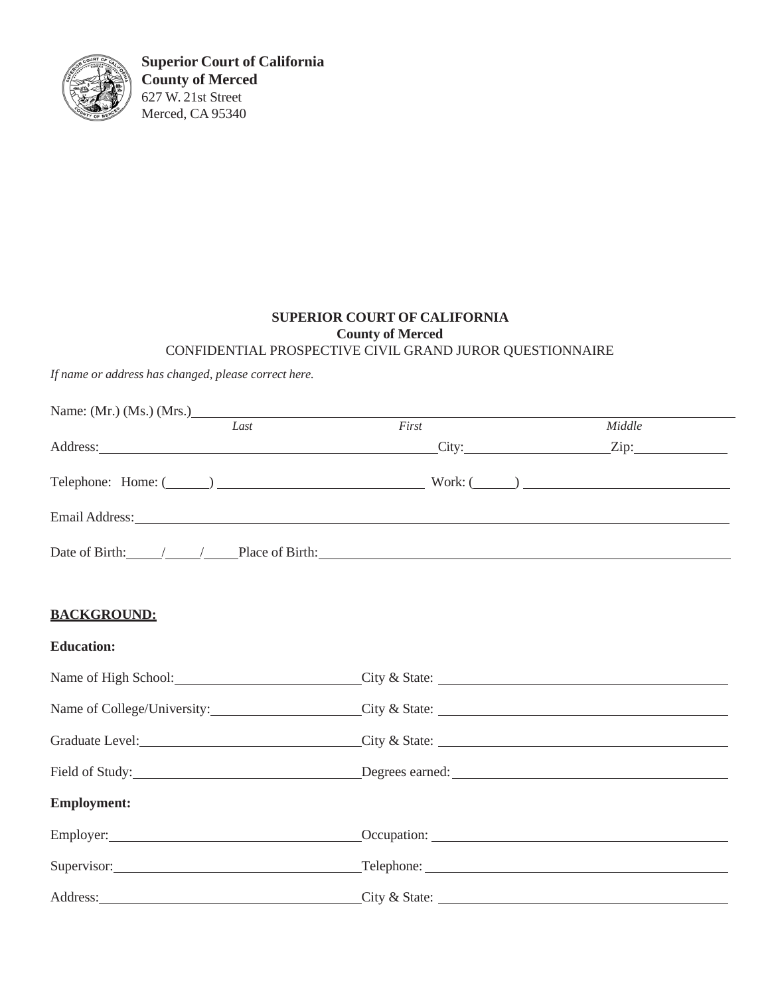

**Superior Court of California County of Merced** 627 W. 21st Street Merced, CA 95340

### **SUPERIOR COURT OF CALIFORNIA County of Merced** CONFIDENTIAL PROSPECTIVE CIVIL GRAND JUROR QUESTIONNAIRE

*If name or address has changed, please correct here.*

| Name: (Mr.) (Ms.) (Mrs.) |      |                                                                                                                                                                                                                                |                                                                                                                                                                                                                                                                                                  |
|--------------------------|------|--------------------------------------------------------------------------------------------------------------------------------------------------------------------------------------------------------------------------------|--------------------------------------------------------------------------------------------------------------------------------------------------------------------------------------------------------------------------------------------------------------------------------------------------|
|                          | Last | First                                                                                                                                                                                                                          | Middle                                                                                                                                                                                                                                                                                           |
|                          |      |                                                                                                                                                                                                                                | Address: <u>City:</u> City: <u>City:</u> City: <u>City:</u> City: <u>City:</u> City: <u>City:</u> City: <u>City:</u> City: <u>City:</u> City: <u>City:</u> City: <u>City:</u> City: <u>City:</u> City: <u>City:</u> City: <u>City:</u> City: <u>City: City: City: City: City: City: City: Ci</u> |
|                          |      |                                                                                                                                                                                                                                | Telephone: Home: $(\_\_\_\_)$ $\_\_\_\_\_\_\_\_\_$ Work: $(\_\_\_)$ $\_\_\_\_\_\_\_\_\_\_$                                                                                                                                                                                                       |
|                          |      |                                                                                                                                                                                                                                |                                                                                                                                                                                                                                                                                                  |
|                          |      |                                                                                                                                                                                                                                |                                                                                                                                                                                                                                                                                                  |
| <b>BACKGROUND:</b>       |      |                                                                                                                                                                                                                                |                                                                                                                                                                                                                                                                                                  |
| <b>Education:</b>        |      |                                                                                                                                                                                                                                |                                                                                                                                                                                                                                                                                                  |
|                          |      | Name of High School: City & State:                                                                                                                                                                                             |                                                                                                                                                                                                                                                                                                  |
|                          |      |                                                                                                                                                                                                                                | Name of College/University: City & State: City & State:                                                                                                                                                                                                                                          |
|                          |      |                                                                                                                                                                                                                                | Graduate Level: City & State: City & State:                                                                                                                                                                                                                                                      |
|                          |      |                                                                                                                                                                                                                                | Field of Study: <u>Next Assembly</u> Degrees earned: Next Assembly 2014 1991 2014                                                                                                                                                                                                                |
| <b>Employment:</b>       |      |                                                                                                                                                                                                                                |                                                                                                                                                                                                                                                                                                  |
|                          |      | Employer: Contract Contract Contract Contract Contract Contract Contract Contract Contract Contract Contract Contract Contract Contract Contract Contract Contract Contract Contract Contract Contract Contract Contract Contr |                                                                                                                                                                                                                                                                                                  |
| Supervisor:              |      |                                                                                                                                                                                                                                |                                                                                                                                                                                                                                                                                                  |
|                          |      |                                                                                                                                                                                                                                | $\text{City} \& \text{State:}$                                                                                                                                                                                                                                                                   |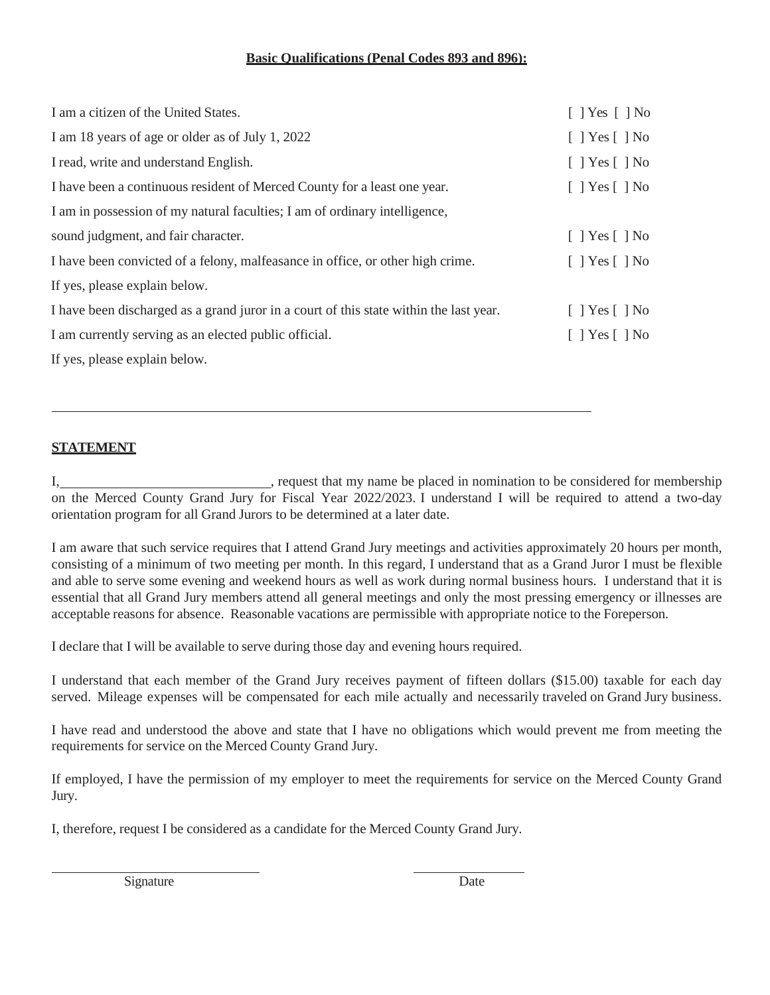### **Basic Qualifications (Penal Codes 893 and 896):**

| I am a citizen of the United States.                                                   | $[$ ] Yes $[$ ] No           |
|----------------------------------------------------------------------------------------|------------------------------|
| I am 18 years of age or older as of July 1, 2022                                       | $[$ ] Yes $[$ ] No           |
| I read, write and understand English.                                                  | $\lceil$   Yes $\lceil$   No |
| I have been a continuous resident of Merced County for a least one year.               | $\lceil$   Yes $\lceil$   No |
| I am in possession of my natural faculties; I am of ordinary intelligence,             |                              |
| sound judgment, and fair character.                                                    | $\lceil$   Yes $\lceil$   No |
| I have been convicted of a felony, malfeasance in office, or other high crime.         | $\lceil$   Yes $\lceil$   No |
| If yes, please explain below.                                                          |                              |
| I have been discharged as a grand juror in a court of this state within the last year. | $[$   Yes $[$   No           |
| I am currently serving as an elected public official.                                  | $[$ ] Yes $[$ ] No           |
| If yes, please explain below.                                                          |                              |

#### **STATEMENT**

I,  $\frac{1}{2}$  , request that my name be placed in nomination to be considered for membership on the Merced County Grand Jury for Fiscal Year 2022/2023. I understand I will be required to attend a two-day orientation program for all Grand Jurors to be determined at a later date.

I am aware that such service requires that I attend Grand Jury meetings and activities approximately 20 hours per month, consisting of a minimum of two meeting per month. In this regard, I understand that as a Grand Juror I must be flexible and able to serve some evening and weekend hours as well as work during normal business hours. I understand that it is essential that all Grand Jury members attend all general meetings and only the most pressing emergency or illnesses are acceptable reasons for absence. Reasonable vacations are permissible with appropriate notice to the Foreperson.

I declare that I will be available to serve during those day and evening hours required.

I understand that each member of the Grand Jury receives payment of fifteen dollars (\$15.00) taxable for each day served. Mileage expenses will be compensated for each mile actually and necessarily traveled on Grand Jury business.

I have read and understood the above and state that I have no obligations which would prevent me from meeting the requirements for service on the Merced County Grand Jury.

If employed, I have the permission of my employer to meet the requirements for service on the Merced County Grand Jury.

I, therefore, request I be considered as a candidate for the Merced County Grand Jury.

Signature Date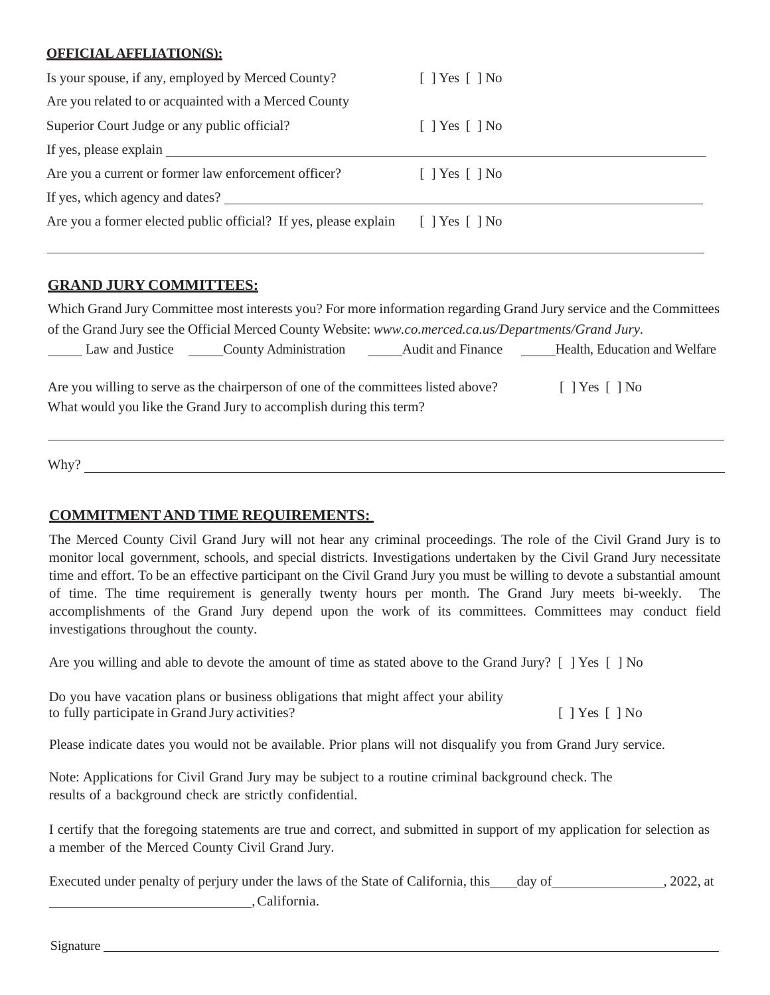#### **OFFICIALAFFLIATION(S):**

| Is your spouse, if any, employed by Merced County?               | $\lceil$   Yes $\lceil$   No |
|------------------------------------------------------------------|------------------------------|
| Are you related to or acquainted with a Merced County            |                              |
| Superior Court Judge or any public official?                     | $\lceil$   Yes $\lceil$   No |
| If yes, please explain                                           |                              |
| Are you a current or former law enforcement officer?             | $\lceil$   Yes $\lceil$   No |
| If yes, which agency and dates?                                  |                              |
| Are you a former elected public official? If yes, please explain | $\lceil$   Yes $\lceil$   No |

## **GRAND JURY COMMITTEES:**

Which Grand Jury Committee most interests you? For more information regarding Grand Jury service and the Committees of the Grand Jury see the Official Merced County Website: *[www.co.merced.ca.us/Departments/Grand](http://www.co.merced.ca.us/Departments/Grand) Jury.*

Law and Justice \_\_\_\_\_\_County Administration \_\_\_\_\_\_\_Audit and Finance \_\_\_\_\_\_Health, Education and Welfare

Are you willing to serve as the chairperson of one of the committees listed above? [ ] Yes [ ] No What would you like the Grand Jury to accomplish during this term?

Why?

## **COMMITMENT AND TIME REQUIREMENTS:**

The Merced County Civil Grand Jury will not hear any criminal proceedings. The role of the Civil Grand Jury is to monitor local government, schools, and special districts. Investigations undertaken by the Civil Grand Jury necessitate time and effort. To be an effective participant on the Civil Grand Jury you must be willing to devote a substantial amount of time. The time requirement is generally twenty hours per month. The Grand Jury meets bi-weekly. The accomplishments of the Grand Jury depend upon the work of its committees. Committees may conduct field investigations throughout the county.

Are you willing and able to devote the amount of time as stated above to the Grand Jury? [ ] Yes [ ] No

| Do you have vacation plans or business obligations that might affect your ability |                              |
|-----------------------------------------------------------------------------------|------------------------------|
| to fully participate in Grand Jury activities?                                    | $\lceil$   Yes $\lceil$   No |

Please indicate dates you would not be available. Prior plans will not disqualify you from Grand Jury service.

Note: Applications for Civil Grand Jury may be subject to a routine criminal background check. The results of a background check are strictly confidential.

I certify that the foregoing statements are true and correct, and submitted in support of my application for selection as a member of the Merced County Civil Grand Jury.

Executed under penalty of perjury under the laws of the State of California, this day of , 2022, at ,California.

Signature